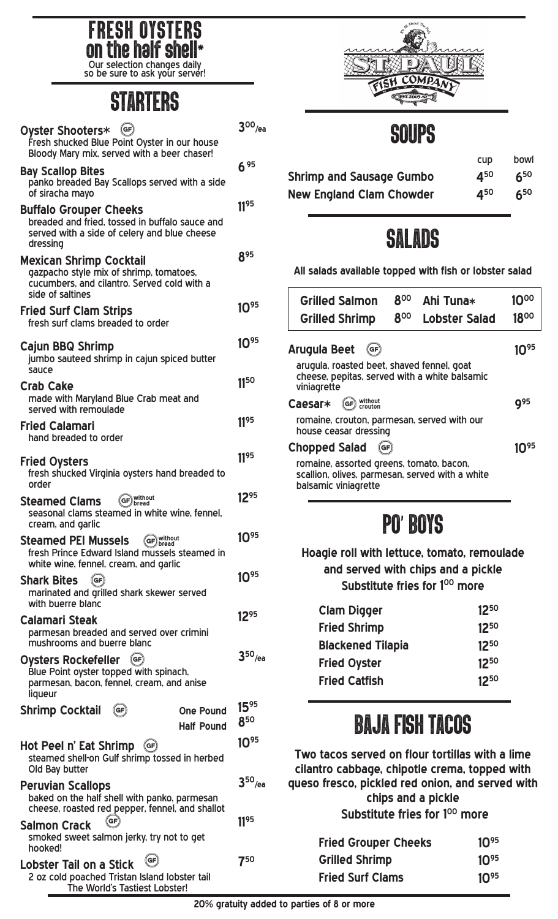

so be sure to ask your server!

# **STARTERS**

| (GF)<br>Oyster Shooters*<br>Fresh shucked Blue Point Oyster in our house<br>Bloody Mary mix, served with a beer chaser!                         | $3^{00}$ /ea     |
|-------------------------------------------------------------------------------------------------------------------------------------------------|------------------|
| <b>Bay Scallop Bites</b><br>panko breaded Bay Scallops served with a side<br>of siracha mayo                                                    | 6 95             |
| <b>Buffalo Grouper Cheeks</b><br>breaded and fried, tossed in buffalo sauce and<br>served with a side of celery and blue cheese<br>dressing     | 1195             |
| <b>Mexican Shrimp Cocktail</b><br>gazpacho style mix of shrimp, tomatoes,<br>cucumbers, and cilantro. Served cold with a<br>side of saltines    | 895              |
| <b>Fried Surf Clam Strips</b><br>fresh surf clams breaded to order                                                                              | 10%              |
| <b>Cajun BBQ Shrimp</b><br>jumbo sauteed shrimp in cajun spiced butter<br>sauce                                                                 | $10^{95}$        |
| <b>Crab Cake</b><br>made with Maryland Blue Crab meat and<br>served with remoulade                                                              | 1150             |
| <b>Fried Calamari</b><br>hand breaded to order                                                                                                  | 1195             |
| <b>Fried Oysters</b><br>fresh shucked Virginia oysters hand breaded to<br>order                                                                 | 1195             |
| <b>Steamed Clams</b><br>seasonal clams steamed in white wine, fennel,<br>cream, and garlic                                                      | $12^{95}$        |
| <b>Steamed PEI Mussels</b><br>fresh Prince Edward Island mussels steamed in<br>white wine, fennel, cream, and garlic                            | $10^{95}$        |
| $(\mathsf{G}\mathsf{F})$<br><b>Shark Bites</b><br>marinated and grilled shark skewer served<br>with buerre blanc                                | $10^{95}$        |
| <b>Calamari Steak</b><br>parmesan breaded and served over crimini<br>mushrooms and buerre blanc                                                 | $12^{95}$        |
| $(\mathsf{GF})$<br><b>Oysters Rockefeller</b><br>Blue Point oyster topped with spinach,<br>parmesan, bacon, fennel, cream, and anise<br>liqueur | $3^{50}$ /ea     |
| <b>Shrimp Cocktail</b><br>GF<br><b>One Pound</b><br><b>Half Pound</b>                                                                           | $15^{95}$<br>850 |
| Hot Peel n' Eat Shrimp<br>$(\mathsf{GF})$<br>steamed shell-on Gulf shrimp tossed in herbed<br>Old Bay butter                                    | $10^{95}$        |
| <b>Peruvian Scallops</b><br>baked on the half shell with panko, parmesan<br>cheese, roasted red pepper, fennel, and shallot                     | $3^{50}$ /ea     |
| <b>Salmon Crack</b><br>smoked sweet salmon jerky, try not to get<br>hooked!                                                                     | 1195             |
| GF<br><b>Lobster Tail on a Stick</b><br>2 oz cold poached Tristan Island lobster tail<br>The World's Tastiest Lobster!                          | 750              |



### SOUPS

|                                 | <b>CUD</b> | bowl     |
|---------------------------------|------------|----------|
| <b>Shrimp and Sausage Gumbo</b> | 450        | $6^{50}$ |
| <b>New England Clam Chowder</b> | 450        | $6^{50}$ |

### SALADS

**All salads available topped with fish or lobster salad**

| <b>Grilled Salmon</b>                                                                                               | 800 | Ahi Tuna*            | 10 <sub>00</sub> |
|---------------------------------------------------------------------------------------------------------------------|-----|----------------------|------------------|
| <b>Grilled Shrimp</b>                                                                                               | 800 | <b>Lobster Salad</b> | 1800             |
| Arugula Beet<br>$\left($ GF $\right)$                                                                               |     |                      |                  |
| arugula, roasted beet, shaved fennel, goat<br>cheese, pepitas, served with a white balsamic<br>viniagrette          |     |                      |                  |
| without<br>crouton<br>Caesar*<br>GF                                                                                 |     |                      | Q95              |
| romaine, crouton, parmesan, served with our<br>house ceasar dressing                                                |     |                      |                  |
| <b>Chopped Salad</b><br><b>GF</b>                                                                                   |     |                      |                  |
| romaine, assorted greens, tomato, bacon,<br>scallion, olives, parmesan, served with a white<br>balsamic viniagrette |     |                      |                  |

# PO' BOYS

**Hoagie roll with lettuce, tomato, remoulade and served with chips and a pickle** Substitute fries for 1<sup>00</sup> more

| <b>Clam Digger</b>       | $12^{50}$ |
|--------------------------|-----------|
| <b>Fried Shrimp</b>      | 1250      |
| <b>Blackened Tilapia</b> | 1250      |
| <b>Fried Oyster</b>      | $12^{50}$ |
| <b>Fried Catfish</b>     | 1250      |

# BAJA FISH TACOS

**Two tacos served on flour tortillas with a lime cilantro cabbage, chipotle crema, topped with queso fresco, pickled red onion, and served with chips and a pickle** Substitute fries for 1<sup>00</sup> more

| <b>Fried Grouper Cheeks</b> | $10^{95}$ |
|-----------------------------|-----------|
| <b>Grilled Shrimp</b>       | $10^{95}$ |
| <b>Fried Surf Clams</b>     | $10^{95}$ |